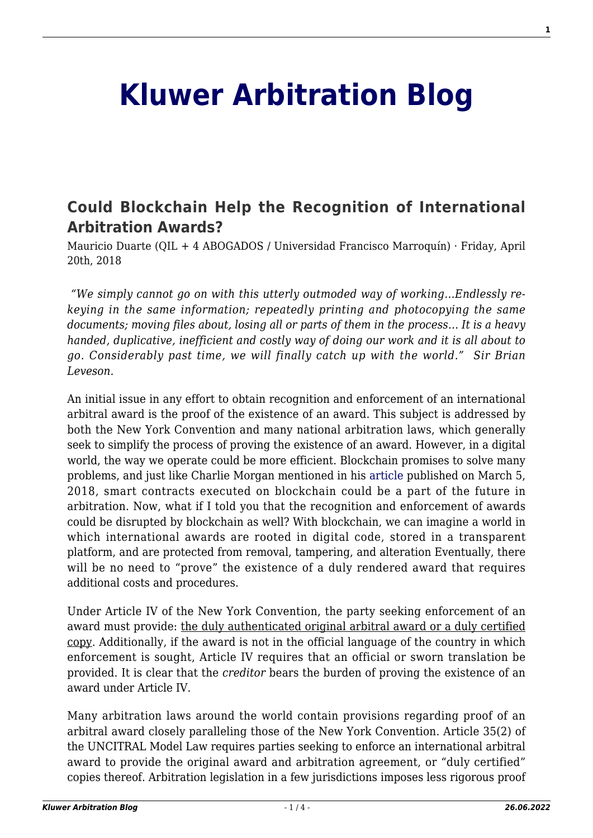## **[Kluwer Arbitration Blog](http://arbitrationblog.kluwerarbitration.com/)**

## **[Could Blockchain Help the Recognition of International](http://arbitrationblog.kluwerarbitration.com/2018/04/20/blockchain-help-recognition-international-arbitration-awards/) [Arbitration Awards?](http://arbitrationblog.kluwerarbitration.com/2018/04/20/blockchain-help-recognition-international-arbitration-awards/)**

Mauricio Duarte (QIL + 4 ABOGADOS / Universidad Francisco Marroquín) · Friday, April 20th, 2018

 *"We simply cannot go on with this utterly outmoded way of working…Endlessly rekeying in the same information; repeatedly printing and photocopying the same documents; moving files about, losing all or parts of them in the process… It is a heavy handed, duplicative, inefficient and costly way of doing our work and it is all about to go. Considerably past time, we will finally catch up with the world." Sir Brian Leveson.*

An initial issue in any effort to obtain recognition and enforcement of an international arbitral award is the proof of the existence of an award. This subject is addressed by both the New York Convention and many national arbitration laws, which generally seek to simplify the process of proving the existence of an award. However, in a digital world, the way we operate could be more efficient. Blockchain promises to solve many problems, and just like Charlie Morgan mentioned in his [article](http://arbitrationblog.kluwerarbitration.com/2018/03/05/topic-to-be-confirmed/) published on March 5, 2018, smart contracts executed on blockchain could be a part of the future in arbitration. Now, what if I told you that the recognition and enforcement of awards could be disrupted by blockchain as well? With blockchain, we can imagine a world in which international awards are rooted in digital code, stored in a transparent platform, and are protected from removal, tampering, and alteration Eventually, there will be no need to "prove" the existence of a duly rendered award that requires additional costs and procedures.

Under Article IV of the New York Convention, the party seeking enforcement of an award must provide: the duly authenticated original arbitral award or a duly certified copy. Additionally, if the award is not in the official language of the country in which enforcement is sought, Article IV requires that an official or sworn translation be provided. It is clear that the *creditor* bears the burden of proving the existence of an award under Article IV.

Many arbitration laws around the world contain provisions regarding proof of an arbitral award closely paralleling those of the New York Convention. Article 35(2) of the UNCITRAL Model Law requires parties seeking to enforce an international arbitral award to provide the original award and arbitration agreement, or "duly certified" copies thereof. Arbitration legislation in a few jurisdictions imposes less rigorous proof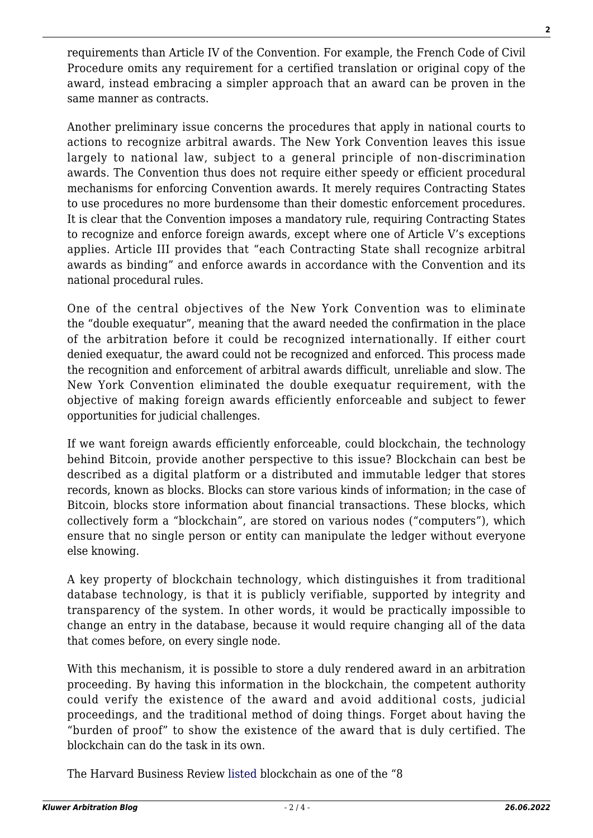requirements than Article IV of the Convention. For example, the French Code of Civil Procedure omits any requirement for a certified translation or original copy of the award, instead embracing a simpler approach that an award can be proven in the same manner as contracts.

Another preliminary issue concerns the procedures that apply in national courts to actions to recognize arbitral awards. The New York Convention leaves this issue largely to national law, subject to a general principle of non-discrimination awards. The Convention thus does not require either speedy or efficient procedural mechanisms for enforcing Convention awards. It merely requires Contracting States to use procedures no more burdensome than their domestic enforcement procedures. It is clear that the Convention imposes a mandatory rule, requiring Contracting States to recognize and enforce foreign awards, except where one of Article V's exceptions applies. Article III provides that "each Contracting State shall recognize arbitral awards as binding" and enforce awards in accordance with the Convention and its national procedural rules.

One of the central objectives of the New York Convention was to eliminate the "double exequatur", meaning that the award needed the confirmation in the place of the arbitration before it could be recognized internationally. If either court denied exequatur, the award could not be recognized and enforced. This process made the recognition and enforcement of arbitral awards difficult, unreliable and slow. The New York Convention eliminated the double exequatur requirement, with the objective of making foreign awards efficiently enforceable and subject to fewer opportunities for judicial challenges.

If we want foreign awards efficiently enforceable, could blockchain, the technology behind Bitcoin, provide another perspective to this issue? Blockchain can best be described as a digital platform or a distributed and immutable ledger that stores records, known as blocks. Blocks can store various kinds of information; in the case of Bitcoin, blocks store information about financial transactions. These blocks, which collectively form a "blockchain", are stored on various nodes ("computers"), which ensure that no single person or entity can manipulate the ledger without everyone else knowing.

A key property of blockchain technology, which distinguishes it from traditional database technology, is that it is publicly verifiable, supported by integrity and transparency of the system. In other words, it would be practically impossible to change an entry in the database, because it would require changing all of the data that comes before, on every single node.

With this mechanism, it is possible to store a duly rendered award in an arbitration proceeding. By having this information in the blockchain, the competent authority could verify the existence of the award and avoid additional costs, judicial proceedings, and the traditional method of doing things. Forget about having the "burden of proof" to show the existence of the award that is duly certified. The blockchain can do the task in its own.

The Harvard Business Review [listed](https://hbr.org/2015/12/8-tech-trends-to-watch-in-2016) blockchain as one of the "8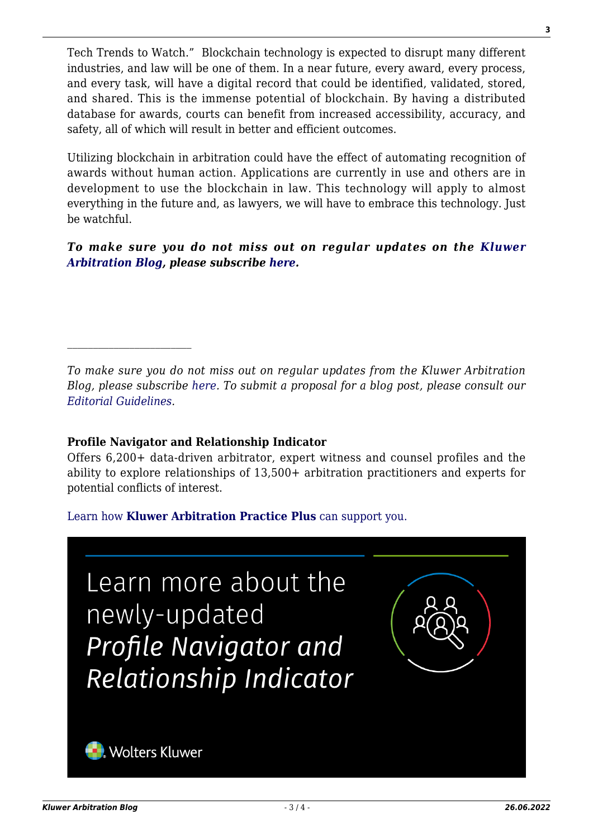Tech Trends to Watch." Blockchain technology is expected to disrupt many different industries, and law will be one of them. In a near future, every award, every process, and every task, will have a digital record that could be identified, validated, stored, and shared. This is the immense potential of blockchain. By having a distributed database for awards, courts can benefit from increased accessibility, accuracy, and safety, all of which will result in better and efficient outcomes.

Utilizing blockchain in arbitration could have the effect of automating recognition of awards without human action. Applications are currently in use and others are in development to use the blockchain in law. This technology will apply to almost everything in the future and, as lawyers, we will have to embrace this technology. Just be watchful.

*To make sure you do not miss out on regular updates on the [Kluwer](http://arbitrationblog.kluwerarbitration.com/) [Arbitration Blog](http://arbitrationblog.kluwerarbitration.com/), please subscribe [here.](http://arbitrationblog.kluwerarbitration.com/newsletter/?email=&mailing_list_widget_submit=Subscribe)*

## **Profile Navigator and Relationship Indicator**

Offers 6,200+ data-driven arbitrator, expert witness and counsel profiles and the ability to explore relationships of 13,500+ arbitration practitioners and experts for potential conflicts of interest.

[Learn how](https://www.wolterskluwer.com/en/solutions/kluwerarbitration/practiceplus?utm_source=arbitrationblog&utm_medium=articleCTA&utm_campaign=article-banner) **[Kluwer Arbitration Practice Plus](https://www.wolterskluwer.com/en/solutions/kluwerarbitration/practiceplus?utm_source=arbitrationblog&utm_medium=articleCTA&utm_campaign=article-banner)** [can support you.](https://www.wolterskluwer.com/en/solutions/kluwerarbitration/practiceplus?utm_source=arbitrationblog&utm_medium=articleCTA&utm_campaign=article-banner)



*To make sure you do not miss out on regular updates from the Kluwer Arbitration Blog, please subscribe [here](http://arbitrationblog.kluwerarbitration.com/newsletter/). To submit a proposal for a blog post, please consult our [Editorial Guidelines.](http://arbitrationblog.kluwerarbitration.com/editorial-guidelines/)*